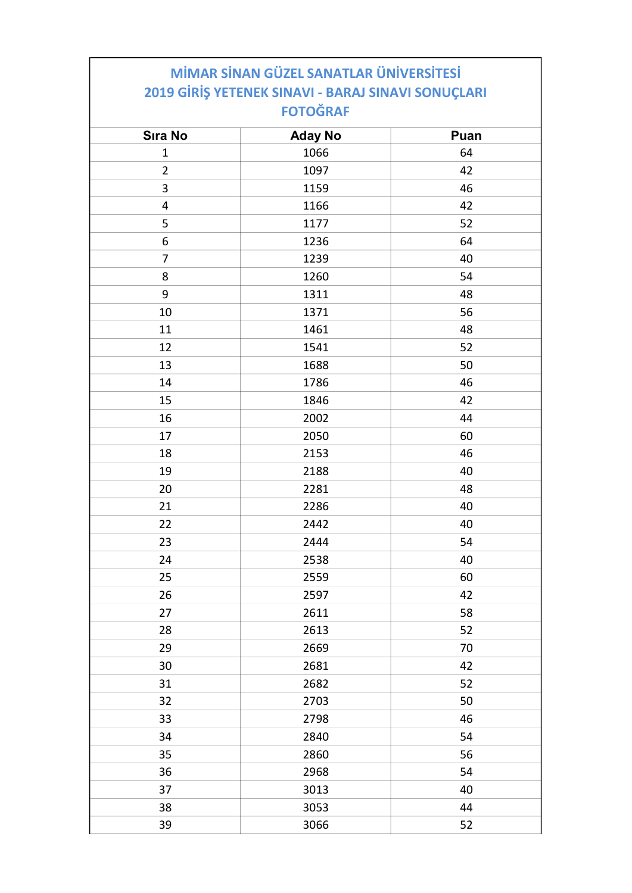## MİMAR SİNAN GÜZEL SANATLAR ÜNİVERSİTESİ 2019 GİRİŞ YETENEK SINAVI - BARAJ SINAVI SONUÇLARI FOTOĞRAF

| <b>Sıra No</b>          | <b>Aday No</b> | Puan |
|-------------------------|----------------|------|
| $\mathbf 1$             | 1066           | 64   |
| $\overline{2}$          | 1097           | 42   |
| 3                       | 1159           | 46   |
| $\overline{\mathbf{4}}$ | 1166           | 42   |
| 5                       | 1177           | 52   |
| 6                       | 1236           | 64   |
| $\overline{7}$          | 1239           | 40   |
| 8                       | 1260           | 54   |
| $\boldsymbol{9}$        | 1311           | 48   |
| $10\,$                  | 1371           | 56   |
| 11                      | 1461           | 48   |
| 12                      | 1541           | 52   |
| 13                      | 1688           | 50   |
| 14                      | 1786           | 46   |
| 15                      | 1846           | 42   |
| 16                      | 2002           | 44   |
| 17                      | 2050           | 60   |
| 18                      | 2153           | 46   |
| 19                      | 2188           | 40   |
| 20                      | 2281           | 48   |
| 21                      | 2286           | 40   |
| 22                      | 2442           | 40   |
| 23                      | 2444           | 54   |
| 24                      | 2538           | 40   |
| 25                      | 2559           | 60   |
| 26                      | 2597           | 42   |
| 27                      | 2611           | 58   |
| 28                      | 2613           | 52   |
| 29                      | 2669           | 70   |
| 30                      | 2681           | 42   |
| 31                      | 2682           | 52   |
| 32                      | 2703           | 50   |
| 33                      | 2798           | 46   |
| 34                      | 2840           | 54   |
| 35                      | 2860           | 56   |
| 36                      | 2968           | 54   |
| 37                      | 3013           | 40   |
| 38                      | 3053           | 44   |
| 39                      | 3066           | 52   |